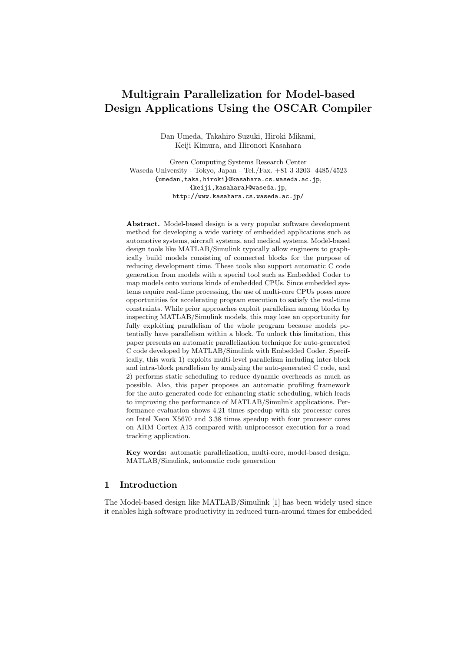# **Multigrain Parallelization for Model-based Design Applications Using the OSCAR Compiler**

Dan Umeda, Takahiro Suzuki, Hiroki Mikami, Keiji Kimura, and Hironori Kasahara

Green Computing Systems Research Center Waseda University - Tokyo, Japan - Tel./Fax. +81-3-3203- 4485/4523 {umedan,taka,hiroki}@kasahara.cs.waseda.ac.jp, {keiji,kasahara}@waseda.jp, http://www.kasahara.cs.waseda.ac.jp/

**Abstract.** Model-based design is a very popular software development method for developing a wide variety of embedded applications such as automotive systems, aircraft systems, and medical systems. Model-based design tools like MATLAB/Simulink typically allow engineers to graphically build models consisting of connected blocks for the purpose of reducing development time. These tools also support automatic C code generation from models with a special tool such as Embedded Coder to map models onto various kinds of embedded CPUs. Since embedded systems require real-time processing, the use of multi-core CPUs poses more opportunities for accelerating program execution to satisfy the real-time constraints. While prior approaches exploit parallelism among blocks by inspecting MATLAB/Simulink models, this may lose an opportunity for fully exploiting parallelism of the whole program because models potentially have parallelism within a block. To unlock this limitation, this paper presents an automatic parallelization technique for auto-generated C code developed by MATLAB/Simulink with Embedded Coder. Specifically, this work 1) exploits multi-level parallelism including inter-block and intra-block parallelism by analyzing the auto-generated C code, and 2) performs static scheduling to reduce dynamic overheads as much as possible. Also, this paper proposes an automatic profiling framework for the auto-generated code for enhancing static scheduling, which leads to improving the performance of MATLAB/Simulink applications. Performance evaluation shows 4.21 times speedup with six processor cores on Intel Xeon X5670 and 3.38 times speedup with four processor cores on ARM Cortex-A15 compared with uniprocessor execution for a road tracking application.

**Key words:** automatic parallelization, multi-core, model-based design, MATLAB/Simulink, automatic code generation

# **1 Introduction**

The Model-based design like MATLAB/Simulink [1] has been widely used since it enables high software productivity in reduced turn-around times for embedded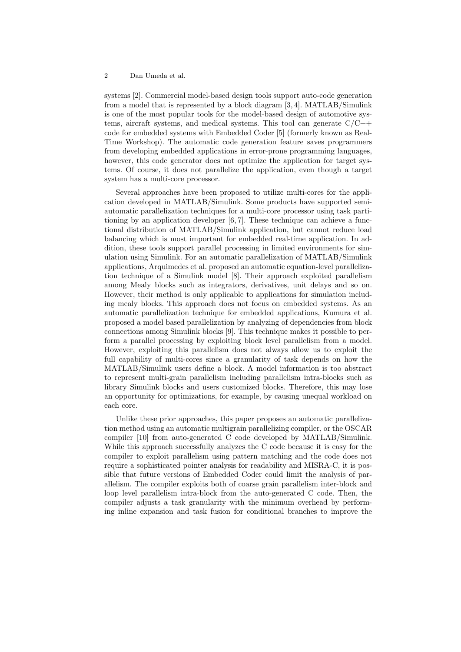systems [2]. Commercial model-based design tools support auto-code generation from a model that is represented by a block diagram [3, 4]. MATLAB/Simulink is one of the most popular tools for the model-based design of automotive systems, aircraft systems, and medical systems. This tool can generate  $C/C++$ code for embedded systems with Embedded Coder [5] (formerly known as Real-Time Workshop). The automatic code generation feature saves programmers from developing embedded applications in error-prone programming languages, however, this code generator does not optimize the application for target systems. Of course, it does not parallelize the application, even though a target system has a multi-core processor.

Several approaches have been proposed to utilize multi-cores for the application developed in MATLAB/Simulink. Some products have supported semiautomatic parallelization techniques for a multi-core processor using task partitioning by an application developer  $[6, 7]$ . These technique can achieve a functional distribution of MATLAB/Simulink application, but cannot reduce load balancing which is most important for embedded real-time application. In addition, these tools support parallel processing in limited environments for simulation using Simulink. For an automatic parallelization of MATLAB/Simulink applications, Arquimedes et al. proposed an automatic equation-level parallelization technique of a Simulink model [8]. Their approach exploited parallelism among Mealy blocks such as integrators, derivatives, unit delays and so on. However, their method is only applicable to applications for simulation including mealy blocks. This approach does not focus on embedded systems. As an automatic parallelization technique for embedded applications, Kumura et al. proposed a model based parallelization by analyzing of dependencies from block connections among Simulink blocks [9]. This technique makes it possible to perform a parallel processing by exploiting block level parallelism from a model. However, exploiting this parallelism does not always allow us to exploit the full capability of multi-cores since a granularity of task depends on how the MATLAB/Simulink users define a block. A model information is too abstract to represent multi-grain parallelism including parallelism intra-blocks such as library Simulink blocks and users customized blocks. Therefore, this may lose an opportunity for optimizations, for example, by causing unequal workload on each core.

Unlike these prior approaches, this paper proposes an automatic parallelization method using an automatic multigrain parallelizing compiler, or the OSCAR compiler [10] from auto-generated C code developed by MATLAB/Simulink. While this approach successfully analyzes the C code because it is easy for the compiler to exploit parallelism using pattern matching and the code does not require a sophisticated pointer analysis for readability and MISRA-C, it is possible that future versions of Embedded Coder could limit the analysis of parallelism. The compiler exploits both of coarse grain parallelism inter-block and loop level parallelism intra-block from the auto-generated C code. Then, the compiler adjusts a task granularity with the minimum overhead by performing inline expansion and task fusion for conditional branches to improve the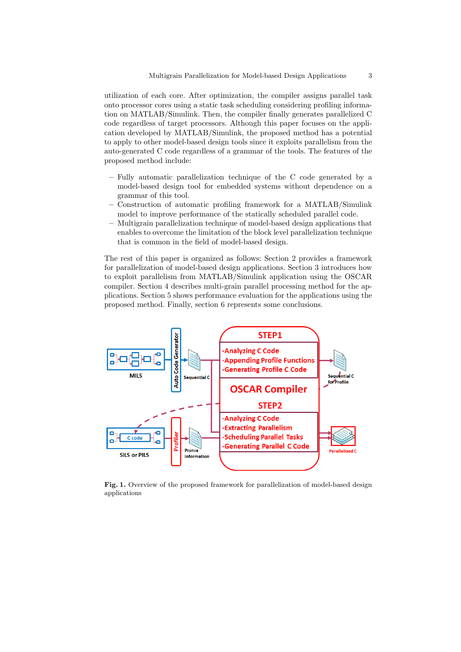utilization of each core. After optimization, the compiler assigns parallel task onto processor cores using a static task scheduling considering profiling information on MATLAB/Simulink. Then, the compiler finally generates parallelized C code regardless of target processors. Although this paper focuses on the application developed by MATLAB/Simulink, the proposed method has a potential to apply to other model-based design tools since it exploits parallelism from the auto-generated C code regardless of a grammar of the tools. The features of the proposed method include:

- **–** Fully automatic parallelization technique of the C code generated by a model-based design tool for embedded systems without dependence on a grammar of this tool.
- **–** Construction of automatic profiling framework for a MATLAB/Simulink model to improve performance of the statically scheduled parallel code.
- **–** Multigrain parallelization technique of model-based design applications that enables to overcome the limitation of the block level parallelization technique that is common in the field of model-based design.

The rest of this paper is organized as follows: Section 2 provides a framework for parallelization of model-based design applications. Section 3 introduces how to exploit parallelism from MATLAB/Simulink application using the OSCAR compiler. Section 4 describes multi-grain parallel processing method for the applications. Section 5 shows performance evaluation for the applications using the proposed method. Finally, section 6 represents some conclusions.



**Fig. 1.** Overview of the proposed framework for parallelization of model-based design applications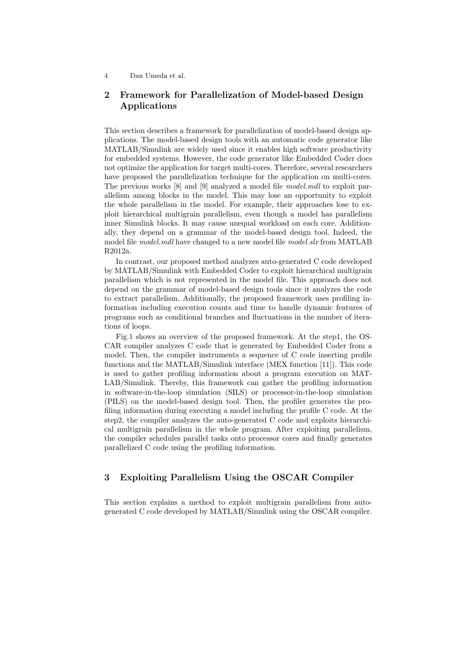# **2 Framework for Parallelization of Model-based Design Applications**

This section describes a framework for parallelization of model-based design applications. The model-based design tools with an automatic code generator like MATLAB/Simulink are widely used since it enables high software productivity for embedded systems. However, the code generator like Embedded Coder does not optimize the application for target multi-cores. Therefore, several researchers have proposed the parallelization technique for the application on multi-cores. The previous works [8] and [9] analyzed a model file *model.mdl* to exploit parallelism among blocks in the model. This may lose an opportunity to exploit the whole parallelism in the model. For example, their approaches lose to exploit hierarchical multigrain parallelism, even though a model has parallelism inner Simulink blocks. It may cause unequal workload on each core. Additionally, they depend on a grammar of the model-based design tool. Indeed, the model file *model.mdl* have changed to a new model file *model.slx* from MATLAB R2012a.

In contrast, our proposed method analyzes auto-generated C code developed by MATLAB/Simulink with Embedded Coder to exploit hierarchical multigrain parallelism which is not represented in the model file. This approach does not depend on the grammar of model-based design tools since it analyzes the code to extract parallelism. Additionally, the proposed framework uses profiling information including execution counts and time to handle dynamic features of programs such as conditional branches and fluctuations in the number of iterations of loops.

Fig.1 shows an overview of the proposed framework. At the step1, the OS-CAR compiler analyzes C code that is generated by Embedded Coder from a model. Then, the compiler instruments a sequence of C code inserting profile functions and the MATLAB/Simulink interface (MEX function [11]). This code is used to gather profiling information about a program execution on MAT-LAB/Simulink. Thereby, this framework can gather the profiling information in software-in-the-loop simulation (SILS) or processor-in-the-loop simulation (PILS) on the model-based design tool. Then, the profiler generates the profiling information during executing a model including the profile C code. At the step2, the compiler analyzes the auto-generated C code and exploits hierarchical multigrain parallelism in the whole program. After exploiting parallelism, the compiler schedules parallel tasks onto processor cores and finally generates parallelized C code using the profiling information.

# **3 Exploiting Parallelism Using the OSCAR Compiler**

This section explains a method to exploit multigrain parallelism from autogenerated C code developed by MATLAB/Simulink using the OSCAR compiler.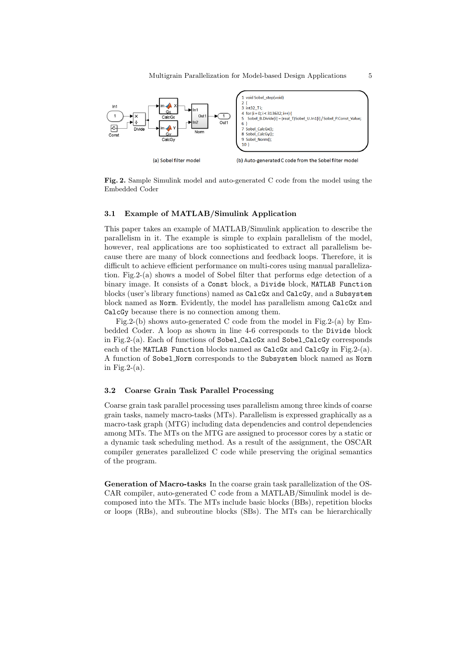

**Fig. 2.** Sample Simulink model and auto-generated C code from the model using the Embedded Coder

#### **3.1 Example of MATLAB/Simulink Application**

This paper takes an example of MATLAB/Simulink application to describe the parallelism in it. The example is simple to explain parallelism of the model, however, real applications are too sophisticated to extract all parallelism because there are many of block connections and feedback loops. Therefore, it is difficult to achieve efficient performance on multi-cores using manual parallelization. Fig.2-(a) shows a model of Sobel filter that performs edge detection of a binary image. It consists of a Const block, a Divide block, MATLAB Function blocks (user's library functions) named as CalcGx and CalcGy, and a Subsystem block named as Norm. Evidently, the model has parallelism among CalcGx and CalcGy because there is no connection among them.

Fig.2-(b) shows auto-generated C code from the model in Fig.2-(a) by Embedded Coder. A loop as shown in line 4-6 corresponds to the Divide block in Fig.2-(a). Each of functions of Sobel CalcGx and Sobel CalcGy corresponds each of the MATLAB Function blocks named as CalcGx and CalcGy in Fig.2-(a). A function of Sobel Norm corresponds to the Subsystem block named as Norm in Fig.  $2-(a)$ .

#### **3.2 Coarse Grain Task Parallel Processing**

Coarse grain task parallel processing uses parallelism among three kinds of coarse grain tasks, namely macro-tasks (MTs). Parallelism is expressed graphically as a macro-task graph (MTG) including data dependencies and control dependencies among MTs. The MTs on the MTG are assigned to processor cores by a static or a dynamic task scheduling method. As a result of the assignment, the OSCAR compiler generates parallelized C code while preserving the original semantics of the program.

**Generation of Macro-tasks** In the coarse grain task parallelization of the OS-CAR compiler, auto-generated C code from a MATLAB/Simulink model is decomposed into the MTs. The MTs include basic blocks (BBs), repetition blocks or loops (RBs), and subroutine blocks (SBs). The MTs can be hierarchically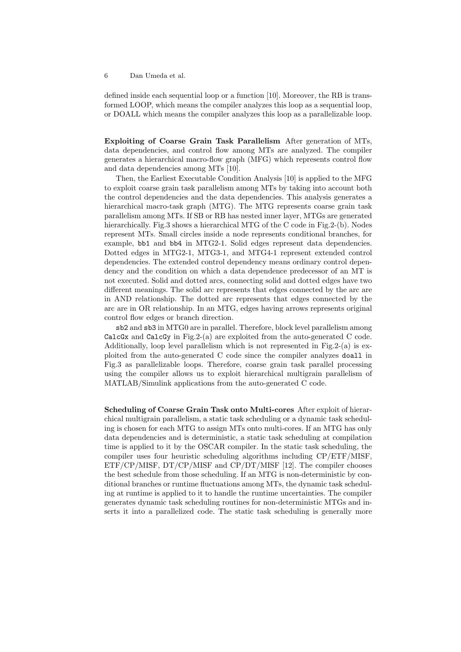defined inside each sequential loop or a function [10]. Moreover, the RB is transformed LOOP, which means the compiler analyzes this loop as a sequential loop, or DOALL which means the compiler analyzes this loop as a parallelizable loop.

**Exploiting of Coarse Grain Task Parallelism** After generation of MTs, data dependencies, and control flow among MTs are analyzed. The compiler generates a hierarchical macro-flow graph (MFG) which represents control flow and data dependencies among MTs [10].

Then, the Earliest Executable Condition Analysis [10] is applied to the MFG to exploit coarse grain task parallelism among MTs by taking into account both the control dependencies and the data dependencies. This analysis generates a hierarchical macro-task graph (MTG). The MTG represents coarse grain task parallelism among MTs. If SB or RB has nested inner layer, MTGs are generated hierarchically. Fig.3 shows a hierarchical MTG of the C code in Fig.2-(b). Nodes represent MTs. Small circles inside a node represents conditional branches, for example, bb1 and bb4 in MTG2-1. Solid edges represent data dependencies. Dotted edges in MTG2-1, MTG3-1, and MTG4-1 represent extended control dependencies. The extended control dependency means ordinary control dependency and the condition on which a data dependence predecessor of an MT is not executed. Solid and dotted arcs, connecting solid and dotted edges have two different meanings. The solid arc represents that edges connected by the arc are in AND relationship. The dotted arc represents that edges connected by the arc are in OR relationship. In an MTG, edges having arrows represents original control flow edges or branch direction.

sb2 and sb3 in MTG0 are in parallel. Therefore, block level parallelism among CalcGx and CalcGy in Fig.  $2-(a)$  are exploited from the auto-generated C code. Additionally, loop level parallelism which is not represented in Fig.2-(a) is exploited from the auto-generated C code since the compiler analyzes doall in Fig.3 as parallelizable loops. Therefore, coarse grain task parallel processing using the compiler allows us to exploit hierarchical multigrain parallelism of MATLAB/Simulink applications from the auto-generated C code.

**Scheduling of Coarse Grain Task onto Multi-cores** After exploit of hierarchical multigrain parallelism, a static task scheduling or a dynamic task scheduling is chosen for each MTG to assign MTs onto multi-cores. If an MTG has only data dependencies and is deterministic, a static task scheduling at compilation time is applied to it by the OSCAR compiler. In the static task scheduling, the compiler uses four heuristic scheduling algorithms including CP/ETF/MISF, ETF/CP/MISF, DT/CP/MISF and CP/DT/MISF [12]. The compiler chooses the best schedule from those scheduling. If an MTG is non-deterministic by conditional branches or runtime fluctuations among MTs, the dynamic task scheduling at runtime is applied to it to handle the runtime uncertainties. The compiler generates dynamic task scheduling routines for non-deterministic MTGs and inserts it into a parallelized code. The static task scheduling is generally more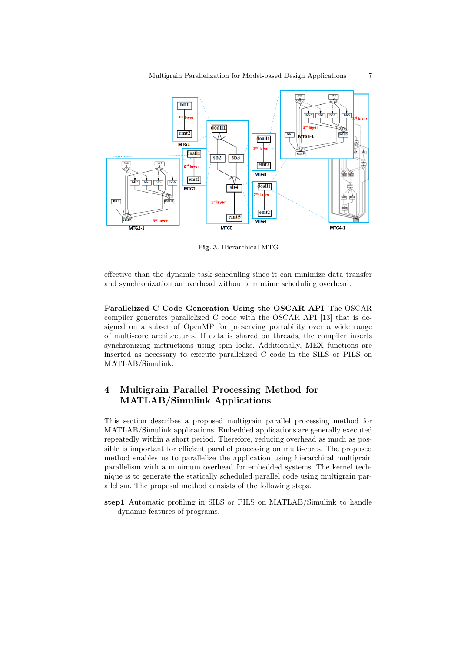

**Fig. 3.** Hierarchical MTG

effective than the dynamic task scheduling since it can minimize data transfer and synchronization an overhead without a runtime scheduling overhead.

**Parallelized C Code Generation Using the OSCAR API** The OSCAR compiler generates parallelized C code with the OSCAR API [13] that is designed on a subset of OpenMP for preserving portability over a wide range of multi-core architectures. If data is shared on threads, the compiler inserts synchronizing instructions using spin locks. Additionally, MEX functions are inserted as necessary to execute parallelized C code in the SILS or PILS on MATLAB/Simulink.

# **4 Multigrain Parallel Processing Method for MATLAB/Simulink Applications**

This section describes a proposed multigrain parallel processing method for MATLAB/Simulink applications. Embedded applications are generally executed repeatedly within a short period. Therefore, reducing overhead as much as possible is important for efficient parallel processing on multi-cores. The proposed method enables us to parallelize the application using hierarchical multigrain parallelism with a minimum overhead for embedded systems. The kernel technique is to generate the statically scheduled parallel code using multigrain parallelism. The proposal method consists of the following steps.

**step1** Automatic profiling in SILS or PILS on MATLAB/Simulink to handle dynamic features of programs.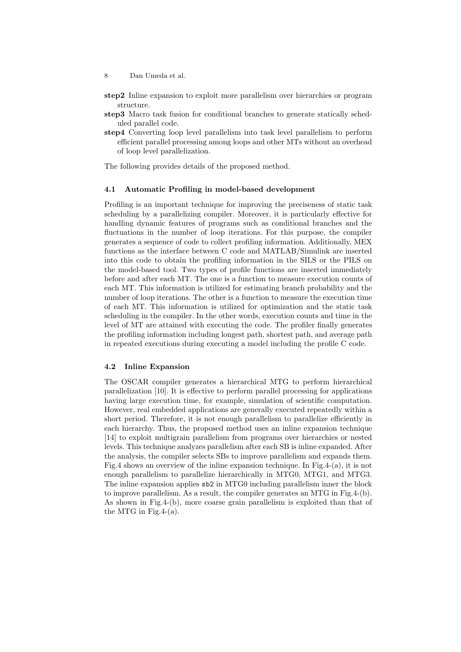- 8 Dan Umeda et al.
- **step2** Inline expansion to exploit more parallelism over hierarchies or program structure.
- **step3** Macro task fusion for conditional branches to generate statically scheduled parallel code.
- **step4** Converting loop level parallelism into task level parallelism to perform efficient parallel processing among loops and other MTs without an overhead of loop level parallelization.

The following provides details of the proposed method.

#### **4.1 Automatic Profiling in model-based development**

Profiling is an important technique for improving the preciseness of static task scheduling by a parallelizing compiler. Moreover, it is particularly effective for handling dynamic features of programs such as conditional branches and the fluctuations in the number of loop iterations. For this purpose, the compiler generates a sequence of code to collect profiling information. Additionally, MEX functions as the interface between C code and MATLAB/Simulink are inserted into this code to obtain the profiling information in the SILS or the PILS on the model-based tool. Two types of profile functions are inserted immediately before and after each MT. The one is a function to measure execution counts of each MT. This information is utilized for estimating branch probability and the number of loop iterations. The other is a function to measure the execution time of each MT. This information is utilized for optimization and the static task scheduling in the compiler. In the other words, execution counts and time in the level of MT are attained with executing the code. The profiler finally generates the profiling information including longest path, shortest path, and average path in repeated executions during executing a model including the profile C code.

#### **4.2 Inline Expansion**

The OSCAR compiler generates a hierarchical MTG to perform hierarchical parallelization [10]. It is effective to perform parallel processing for applications having large execution time, for example, simulation of scientific computation. However, real embedded applications are generally executed repeatedly within a short period. Therefore, it is not enough parallelism to parallelize efficiently in each hierarchy. Thus, the proposed method uses an inline expansion technique [14] to exploit multigrain parallelism from programs over hierarchies or nested levels. This technique analyzes parallelism after each SB is inline expanded. After the analysis, the compiler selects SBs to improve parallelism and expands them. Fig.4 shows an overview of the inline expansion technique. In Fig.4-(a), it is not enough parallelism to parallelize hierarchically in MTG0, MTG1, and MTG3. The inline expansion applies sb2 in MTG0 including parallelism inner the block to improve parallelism. As a result, the compiler generates an MTG in Fig.4-(b). As shown in Fig.4-(b), more coarse grain parallelism is exploited than that of the MTG in Fig. 4- $(a)$ .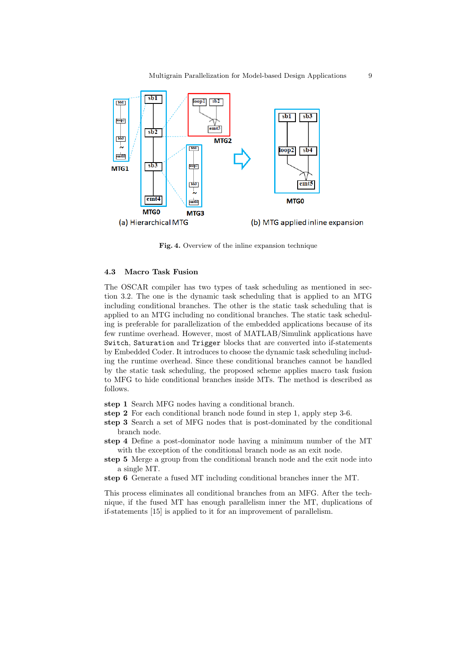

**Fig. 4.** Overview of the inline expansion technique

#### **4.3 Macro Task Fusion**

The OSCAR compiler has two types of task scheduling as mentioned in section 3.2. The one is the dynamic task scheduling that is applied to an MTG including conditional branches. The other is the static task scheduling that is applied to an MTG including no conditional branches. The static task scheduling is preferable for parallelization of the embedded applications because of its few runtime overhead. However, most of MATLAB/Simulink applications have Switch, Saturation and Trigger blocks that are converted into if-statements by Embedded Coder. It introduces to choose the dynamic task scheduling including the runtime overhead. Since these conditional branches cannot be handled by the static task scheduling, the proposed scheme applies macro task fusion to MFG to hide conditional branches inside MTs. The method is described as follows.

- **step 1** Search MFG nodes having a conditional branch.
- **step 2** For each conditional branch node found in step 1, apply step 3-6.
- **step 3** Search a set of MFG nodes that is post-dominated by the conditional branch node.
- **step 4** Define a post-dominator node having a minimum number of the MT with the exception of the conditional branch node as an exit node.
- **step 5** Merge a group from the conditional branch node and the exit node into a single MT.
- **step 6** Generate a fused MT including conditional branches inner the MT.

This process eliminates all conditional branches from an MFG. After the technique, if the fused MT has enough parallelism inner the MT, duplications of if-statements [15] is applied to it for an improvement of parallelism.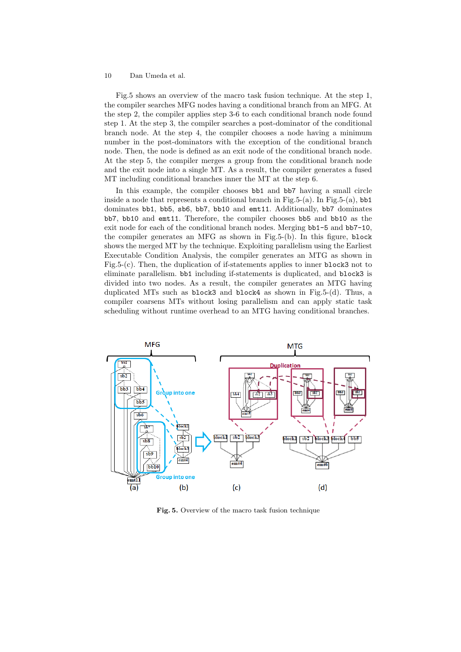Fig.5 shows an overview of the macro task fusion technique. At the step 1, the compiler searches MFG nodes having a conditional branch from an MFG. At the step 2, the compiler applies step 3-6 to each conditional branch node found step 1. At the step 3, the compiler searches a post-dominator of the conditional branch node. At the step 4, the compiler chooses a node having a minimum number in the post-dominators with the exception of the conditional branch node. Then, the node is defined as an exit node of the conditional branch node. At the step 5, the compiler merges a group from the conditional branch node and the exit node into a single MT. As a result, the compiler generates a fused MT including conditional branches inner the MT at the step 6.

In this example, the compiler chooses bb1 and bb7 having a small circle inside a node that represents a conditional branch in Fig.5-(a). In Fig.5-(a),  $bb1$ dominates bb1, bb5, sb6, bb7, bb10 and emt11. Additionally, bb7 dominates bb7, bb10 and emt11. Therefore, the compiler chooses bb5 and bb10 as the exit node for each of the conditional branch nodes. Merging bb1-5 and bb7-10, the compiler generates an MFG as shown in Fig.5-(b). In this figure, block shows the merged MT by the technique. Exploiting parallelism using the Earliest Executable Condition Analysis, the compiler generates an MTG as shown in Fig.5- $(c)$ . Then, the duplication of if-statements applies to inner **block3** not to eliminate parallelism. bb1 including if-statements is duplicated, and block3 is divided into two nodes. As a result, the compiler generates an MTG having duplicated MTs such as block3 and block4 as shown in Fig.5-(d). Thus, a compiler coarsens MTs without losing parallelism and can apply static task scheduling without runtime overhead to an MTG having conditional branches.



**Fig. 5.** Overview of the macro task fusion technique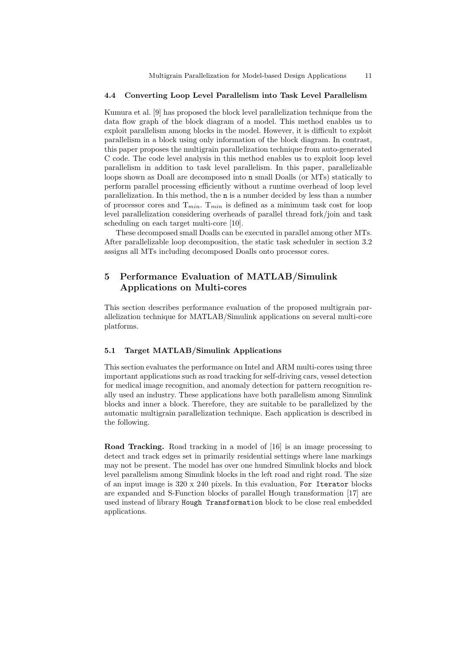#### **4.4 Converting Loop Level Parallelism into Task Level Parallelism**

Kumura et al. [9] has proposed the block level parallelization technique from the data flow graph of the block diagram of a model. This method enables us to exploit parallelism among blocks in the model. However, it is difficult to exploit parallelism in a block using only information of the block diagram. In contrast, this paper proposes the multigrain parallelization technique from auto-generated C code. The code level analysis in this method enables us to exploit loop level parallelism in addition to task level parallelism. In this paper, parallelizable loops shown as Doall are decomposed into n small Doalls (or MTs) statically to perform parallel processing efficiently without a runtime overhead of loop level parallelization. In this method, the n is a number decided by less than a number of processor cores and  $T_{min}$ .  $T_{min}$  is defined as a minimum task cost for loop level parallelization considering overheads of parallel thread fork/join and task scheduling on each target multi-core [10].

These decomposed small Doalls can be executed in parallel among other MTs. After parallelizable loop decomposition, the static task scheduler in section 3.2 assigns all MTs including decomposed Doalls onto processor cores.

# **5 Performance Evaluation of MATLAB/Simulink Applications on Multi-cores**

This section describes performance evaluation of the proposed multigrain parallelization technique for MATLAB/Simulink applications on several multi-core platforms.

## **5.1 Target MATLAB/Simulink Applications**

This section evaluates the performance on Intel and ARM multi-cores using three important applications such as road tracking for self-driving cars, vessel detection for medical image recognition, and anomaly detection for pattern recognition really used an industry. These applications have both parallelism among Simulink blocks and inner a block. Therefore, they are suitable to be parallelized by the automatic multigrain parallelization technique. Each application is described in the following.

**Road Tracking.** Road tracking in a model of [16] is an image processing to detect and track edges set in primarily residential settings where lane markings may not be present. The model has over one hundred Simulink blocks and block level parallelism among Simulink blocks in the left road and right road. The size of an input image is 320 x 240 pixels. In this evaluation, For Iterator blocks are expanded and S-Function blocks of parallel Hough transformation [17] are used instead of library Hough Transformation block to be close real embedded applications.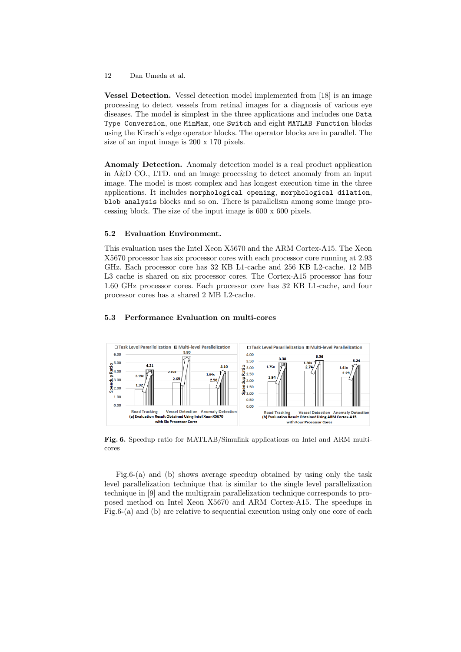**Vessel Detection.** Vessel detection model implemented from [18] is an image processing to detect vessels from retinal images for a diagnosis of various eye diseases. The model is simplest in the three applications and includes one Data Type Conversion, one MinMax, one Switch and eight MATLAB Function blocks using the Kirsch's edge operator blocks. The operator blocks are in parallel. The size of an input image is 200 x 170 pixels.

**Anomaly Detection.** Anomaly detection model is a real product application in A&D CO., LTD. and an image processing to detect anomaly from an input image. The model is most complex and has longest execution time in the three applications. It includes morphological opening, morphological dilation, blob analysis blocks and so on. There is parallelism among some image processing block. The size of the input image is 600 x 600 pixels.

#### **5.2 Evaluation Environment.**

This evaluation uses the Intel Xeon X5670 and the ARM Cortex-A15. The Xeon X5670 processor has six processor cores with each processor core running at 2.93 GHz. Each processor core has 32 KB L1-cache and 256 KB L2-cache. 12 MB L3 cache is shared on six processor cores. The Cortex-A15 processor has four 1.60 GHz processor cores. Each processor core has 32 KB L1-cache, and four processor cores has a shared 2 MB L2-cache.

## **5.3 Performance Evaluation on multi-cores**



Fig. 6. Speedup ratio for MATLAB/Simulink applications on Intel and ARM multicores

Fig.6-(a) and (b) shows average speedup obtained by using only the task level parallelization technique that is similar to the single level parallelization technique in [9] and the multigrain parallelization technique corresponds to proposed method on Intel Xeon X5670 and ARM Cortex-A15. The speedups in Fig.6-(a) and (b) are relative to sequential execution using only one core of each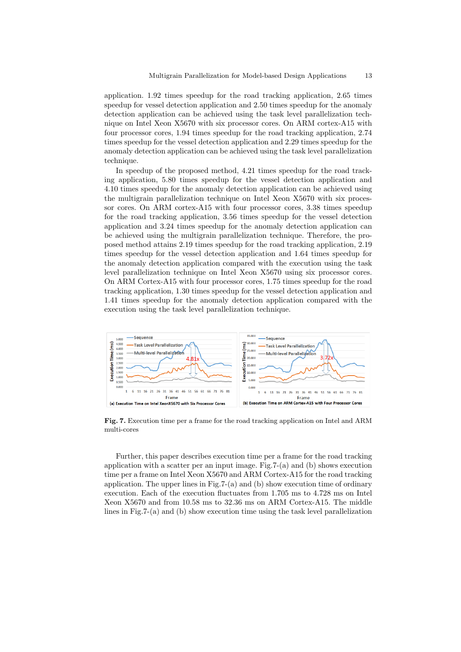application. 1.92 times speedup for the road tracking application, 2.65 times speedup for vessel detection application and 2.50 times speedup for the anomaly detection application can be achieved using the task level parallelization technique on Intel Xeon X5670 with six processor cores. On ARM cortex-A15 with four processor cores, 1.94 times speedup for the road tracking application, 2.74 times speedup for the vessel detection application and 2.29 times speedup for the anomaly detection application can be achieved using the task level parallelization technique.

In speedup of the proposed method, 4.21 times speedup for the road tracking application, 5.80 times speedup for the vessel detection application and 4.10 times speedup for the anomaly detection application can be achieved using the multigrain parallelization technique on Intel Xeon X5670 with six processor cores. On ARM cortex-A15 with four processor cores, 3.38 times speedup for the road tracking application, 3.56 times speedup for the vessel detection application and 3.24 times speedup for the anomaly detection application can be achieved using the multigrain parallelization technique. Therefore, the proposed method attains 2.19 times speedup for the road tracking application, 2.19 times speedup for the vessel detection application and 1.64 times speedup for the anomaly detection application compared with the execution using the task level parallelization technique on Intel Xeon X5670 using six processor cores. On ARM Cortex-A15 with four processor cores, 1.75 times speedup for the road tracking application, 1.30 times speedup for the vessel detection application and 1.41 times speedup for the anomaly detection application compared with the execution using the task level parallelization technique.



**Fig. 7.** Execution time per a frame for the road tracking application on Intel and ARM multi-cores

Further, this paper describes execution time per a frame for the road tracking application with a scatter per an input image. Fig.7-(a) and (b) shows execution time per a frame on Intel Xeon X5670 and ARM Cortex-A15 for the road tracking application. The upper lines in Fig.7- $(a)$  and  $(b)$  show execution time of ordinary execution. Each of the execution fluctuates from 1.705 ms to 4.728 ms on Intel Xeon X5670 and from 10.58 ms to 32.36 ms on ARM Cortex-A15. The middle lines in Fig.7-(a) and (b) show execution time using the task level parallelization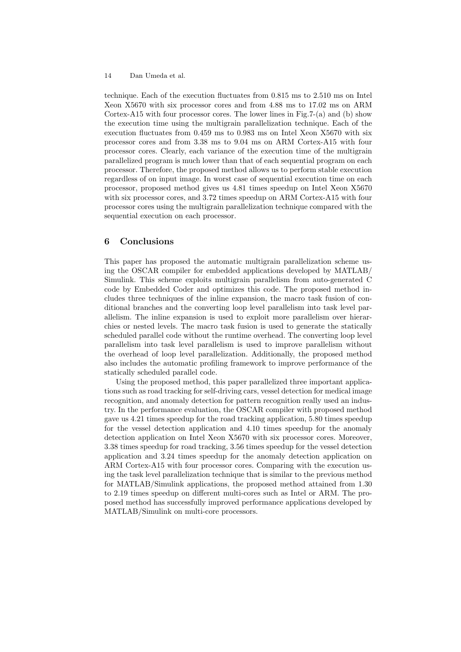technique. Each of the execution fluctuates from 0.815 ms to 2.510 ms on Intel Xeon X5670 with six processor cores and from 4.88 ms to 17.02 ms on ARM Cortex-A15 with four processor cores. The lower lines in Fig.7-(a) and (b) show the execution time using the multigrain parallelization technique. Each of the execution fluctuates from 0.459 ms to 0.983 ms on Intel Xeon X5670 with six processor cores and from 3.38 ms to 9.04 ms on ARM Cortex-A15 with four processor cores. Clearly, each variance of the execution time of the multigrain parallelized program is much lower than that of each sequential program on each processor. Therefore, the proposed method allows us to perform stable execution regardless of on input image. In worst case of sequential execution time on each processor, proposed method gives us 4.81 times speedup on Intel Xeon X5670 with six processor cores, and 3.72 times speedup on ARM Cortex-A15 with four processor cores using the multigrain parallelization technique compared with the sequential execution on each processor.

## **6 Conclusions**

This paper has proposed the automatic multigrain parallelization scheme using the OSCAR compiler for embedded applications developed by MATLAB/ Simulink. This scheme exploits multigrain parallelism from auto-generated C code by Embedded Coder and optimizes this code. The proposed method includes three techniques of the inline expansion, the macro task fusion of conditional branches and the converting loop level parallelism into task level parallelism. The inline expansion is used to exploit more parallelism over hierarchies or nested levels. The macro task fusion is used to generate the statically scheduled parallel code without the runtime overhead. The converting loop level parallelism into task level parallelism is used to improve parallelism without the overhead of loop level parallelization. Additionally, the proposed method also includes the automatic profiling framework to improve performance of the statically scheduled parallel code.

Using the proposed method, this paper parallelized three important applications such as road tracking for self-driving cars, vessel detection for medical image recognition, and anomaly detection for pattern recognition really used an industry. In the performance evaluation, the OSCAR compiler with proposed method gave us 4.21 times speedup for the road tracking application, 5.80 times speedup for the vessel detection application and 4.10 times speedup for the anomaly detection application on Intel Xeon X5670 with six processor cores. Moreover, 3.38 times speedup for road tracking, 3.56 times speedup for the vessel detection application and 3.24 times speedup for the anomaly detection application on ARM Cortex-A15 with four processor cores. Comparing with the execution using the task level parallelization technique that is similar to the previous method for MATLAB/Simulink applications, the proposed method attained from 1.30 to 2.19 times speedup on different multi-cores such as Intel or ARM. The proposed method has successfully improved performance applications developed by MATLAB/Simulink on multi-core processors.